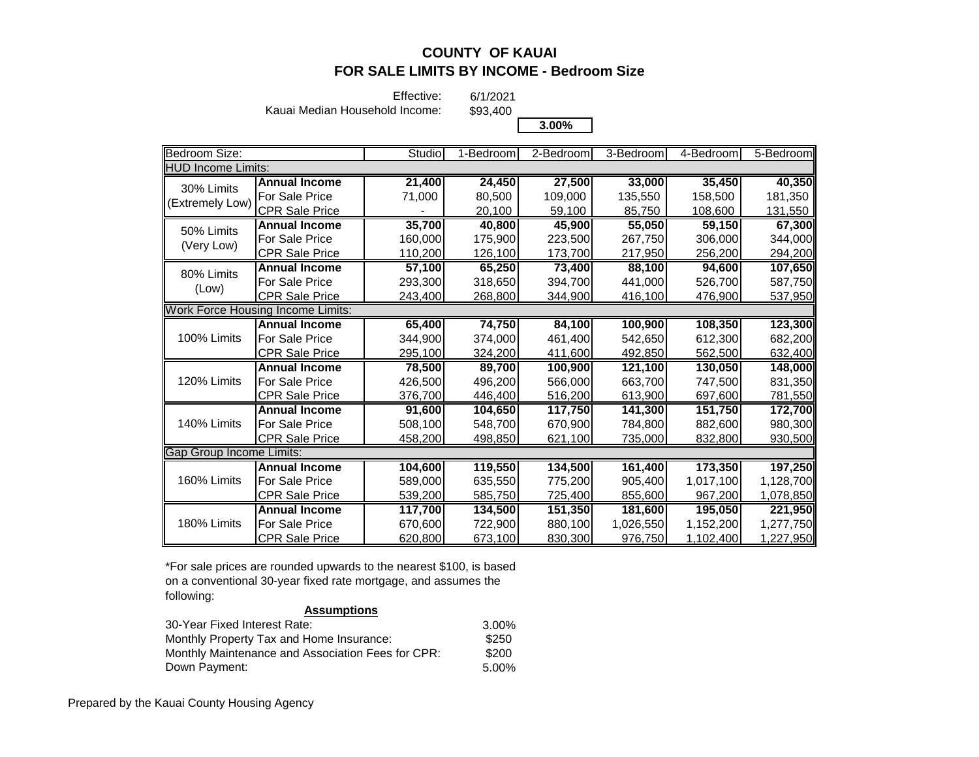Effective:

Kauai Median Household Income:

6/1/2021 \$93,400

**3.00%**

| Bedroom Size:                            |                       | Studio  | 1-Bedroom | 2-Bedroom | 3-Bedroom | 4-Bedroom | 5-Bedroom |
|------------------------------------------|-----------------------|---------|-----------|-----------|-----------|-----------|-----------|
| <b>HUD Income Limits:</b>                |                       |         |           |           |           |           |           |
| 30% Limits                               | <b>Annual Income</b>  | 21,400  | 24,450    | 27,500    | 33,000    | 35,450    | 40,350    |
| (Extremely Low)                          | For Sale Price        | 71,000  | 80,500    | 109,000   | 135,550   | 158,500   | 181,350   |
|                                          | <b>CPR Sale Price</b> |         | 20,100    | 59,100    | 85,750    | 108,600   | 131,550   |
| 50% Limits                               | <b>Annual Income</b>  | 35,700  | 40,800    | 45,900    | 55,050    | 59,150    | 67,300    |
| (Very Low)                               | For Sale Price        | 160,000 | 175,900   | 223,500   | 267,750   | 306,000   | 344,000   |
|                                          | CPR Sale Price        | 110,200 | 126,100   | 173,700   | 217,950   | 256,200   | 294,200   |
| 80% Limits                               | <b>Annual Income</b>  | 57.100  | 65,250    | 73,400    | 88.100    | 94.600    | 107,650   |
| (Low)                                    | For Sale Price        | 293,300 | 318,650   | 394,700   | 441,000   | 526,700   | 587,750   |
|                                          | <b>CPR Sale Price</b> | 243,400 | 268,800   | 344,900   | 416,100   | 476,900   | 537,950   |
| <b>Work Force Housing Income Limits:</b> |                       |         |           |           |           |           |           |
| 100% Limits                              | <b>Annual Income</b>  | 65,400  | 74,750    | 84,100    | 100,900   | 108,350   | 123,300   |
|                                          | For Sale Price        | 344,900 | 374,000   | 461,400   | 542,650   | 612,300   | 682,200   |
|                                          | <b>CPR Sale Price</b> | 295,100 | 324,200   | 411,600   | 492,850   | 562,500   | 632,400   |
|                                          | <b>Annual Income</b>  | 78,500  | 89,700    | 100,900   | 121,100   | 130,050   | 148,000   |
| 120% Limits                              | For Sale Price        | 426,500 | 496,200   | 566,000   | 663.700   | 747,500   | 831,350   |
|                                          | <b>CPR Sale Price</b> | 376,700 | 446,400   | 516,200   | 613,900   | 697,600   | 781,550   |
|                                          | <b>Annual Income</b>  | 91,600  | 104,650   | 117,750   | 141,300   | 151,750   | 172,700   |
| 140% Limits                              | For Sale Price        | 508,100 | 548.700   | 670,900   | 784,800   | 882,600   | 980,300   |
|                                          | <b>CPR Sale Price</b> | 458,200 | 498,850   | 621,100   | 735,000   | 832,800   | 930,500   |
| <b>Gap Group Income Limits:</b>          |                       |         |           |           |           |           |           |
|                                          | <b>Annual Income</b>  | 104,600 | 119,550   | 134,500   | 161,400   | 173,350   | 197,250   |
| 160% Limits                              | For Sale Price        | 589,000 | 635,550   | 775,200   | 905,400   | 1,017,100 | 1,128,700 |
|                                          | CPR Sale Price        | 539,200 | 585,750   | 725,400   | 855,600   | 967,200   | 1,078,850 |
|                                          | <b>Annual Income</b>  | 117,700 | 134,500   | 151,350   | 181,600   | 195,050   | 221,950   |
| 180% Limits                              | For Sale Price        | 670,600 | 722,900   | 880,100   | 1,026,550 | 1,152,200 | 1,277,750 |
|                                          | <b>CPR Sale Price</b> | 620,800 | 673,100   | 830,300   | 976,750   | 1,102,400 | 1,227,950 |

\*For sale prices are rounded upwards to the nearest \$100, is based on a conventional 30-year fixed rate mortgage, and assumes the following:

| 30-Year Fixed Interest Rate:                      | 3.00% |
|---------------------------------------------------|-------|
| Monthly Property Tax and Home Insurance:          | \$250 |
| Monthly Maintenance and Association Fees for CPR: | \$200 |
| Down Payment:                                     | 5.00% |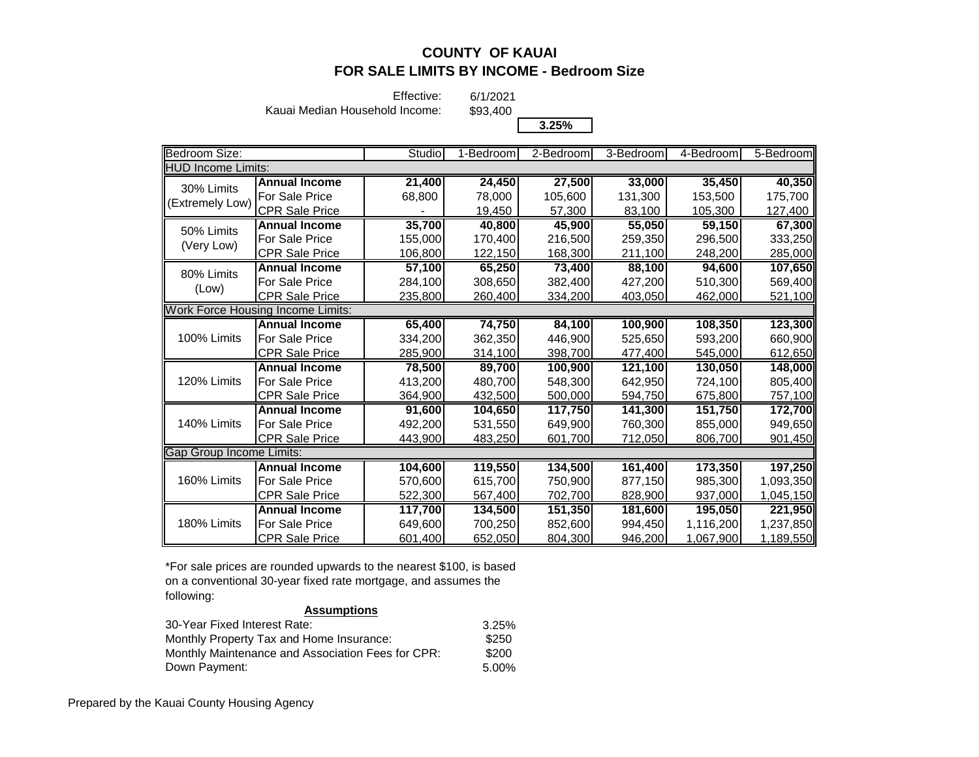Effective:

6/1/2021 \$93,400

Kauai Median Household Income:

**3.25%**

| <b>Bedroom Size:</b>      |                                          | Studio  | 1-Bedroom | 2-Bedroom | 3-Bedroom | 4-Bedroom | 5-Bedroom |
|---------------------------|------------------------------------------|---------|-----------|-----------|-----------|-----------|-----------|
| <b>HUD Income Limits:</b> |                                          |         |           |           |           |           |           |
| 30% Limits                | <b>Annual Income</b>                     | 21,400  | 24,450    | 27,500    | 33,000    | 35,450    | 40,350    |
| (Extremely Low)           | For Sale Price                           | 68,800  | 78,000    | 105,600   | 131,300   | 153,500   | 175,700   |
|                           | CPR Sale Price                           |         | 19,450    | 57,300    | 83,100    | 105,300   | 127,400   |
| 50% Limits                | <b>Annual Income</b>                     | 35,700  | 40,800    | 45,900    | 55,050    | 59,150    | 67,300    |
|                           | For Sale Price                           | 155,000 | 170,400   | 216,500   | 259,350   | 296,500   | 333,250   |
| (Very Low)                | <b>CPR Sale Price</b>                    | 106,800 | 122,150   | 168,300   | 211,100   | 248,200   | 285,000   |
| 80% Limits                | <b>Annual Income</b>                     | 57,100  | 65,250    | 73,400    | 88,100    | 94,600    | 107,650   |
|                           | For Sale Price                           | 284,100 | 308,650   | 382,400   | 427,200   | 510,300   | 569,400   |
| (Low)                     | <b>CPR Sale Price</b>                    | 235,800 | 260,400   | 334,200   | 403,050   | 462,000   | 521,100   |
|                           | <b>Work Force Housing Income Limits:</b> |         |           |           |           |           |           |
|                           | <b>Annual Income</b>                     | 65,400  | 74,750    | 84,100    | 100,900   | 108,350   | 123,300   |
| 100% Limits               | <b>For Sale Price</b>                    | 334,200 | 362,350   | 446,900   | 525,650   | 593,200   | 660,900   |
|                           | <b>CPR Sale Price</b>                    | 285,900 | 314,100   | 398,700   | 477,400   | 545,000   | 612,650   |
|                           | <b>Annual Income</b>                     | 78,500  | 89,700    | 100,900   | 121,100   | 130,050   | 148,000   |
| 120% Limits               | <b>For Sale Price</b>                    | 413,200 | 480,700   | 548,300   | 642,950   | 724,100   | 805,400   |
|                           | <b>CPR Sale Price</b>                    | 364,900 | 432,500   | 500,000   | 594,750   | 675,800   | 757,100   |
|                           | <b>Annual Income</b>                     | 91,600  | 104,650   | 117,750   | 141,300   | 151,750   | 172,700   |
| 140% Limits               | <b>For Sale Price</b>                    | 492,200 | 531,550   | 649,900   | 760,300   | 855,000   | 949,650   |
|                           | <b>CPR Sale Price</b>                    | 443,900 | 483,250   | 601,700   | 712,050   | 806,700   | 901,450   |
| Gap Group Income Limits:  |                                          |         |           |           |           |           |           |
|                           | <b>Annual Income</b>                     | 104,600 | 119,550   | 134,500   | 161,400   | 173,350   | 197,250   |
| 160% Limits               | For Sale Price                           | 570,600 | 615,700   | 750,900   | 877,150   | 985,300   | 1,093,350 |
|                           | CPR Sale Price                           | 522,300 | 567,400   | 702,700   | 828,900   | 937,000   | 1,045,150 |
| 180% Limits               | <b>Annual Income</b>                     | 117,700 | 134,500   | 151,350   | 181,600   | 195,050   | 221,950   |
|                           | <b>For Sale Price</b>                    | 649,600 | 700,250   | 852,600   | 994,450   | 1,116,200 | 1,237,850 |
|                           | <b>CPR Sale Price</b>                    | 601,400 | 652,050   | 804,300   | 946,200   | 1,067,900 | 1,189,550 |

\*For sale prices are rounded upwards to the nearest \$100, is based on a conventional 30-year fixed rate mortgage, and assumes the following:

| 30-Year Fixed Interest Rate:                      | 3.25% |
|---------------------------------------------------|-------|
| Monthly Property Tax and Home Insurance:          | \$250 |
| Monthly Maintenance and Association Fees for CPR: | \$200 |
| Down Payment:                                     | 5.00% |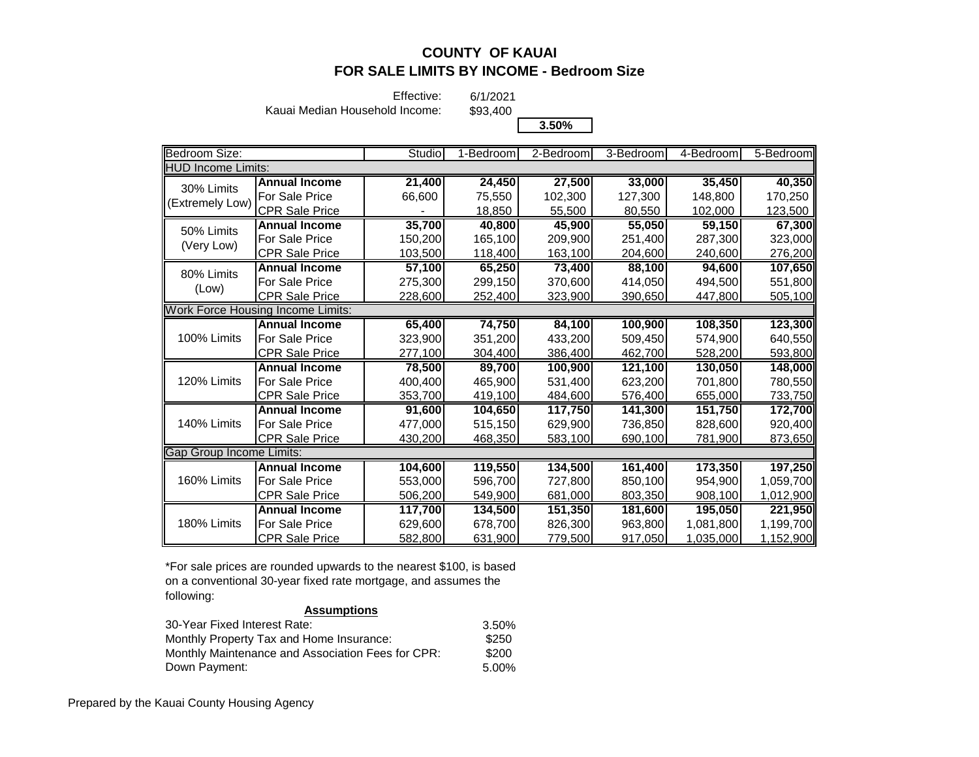Effective:

6/1/2021 \$93,400

Kauai Median Household Income:

**3.50%**

| Bedroom Size:                            |                       | Studio  | 1-Bedroom | 2-Bedroom | 3-Bedroom | 4-Bedroom | 5-Bedroom |
|------------------------------------------|-----------------------|---------|-----------|-----------|-----------|-----------|-----------|
| <b>HUD Income Limits:</b>                |                       |         |           |           |           |           |           |
| 30% Limits                               | <b>Annual Income</b>  | 21,400  | 24,450    | 27,500    | 33,000    | 35,450    | 40,350    |
| (Extremely Low)                          | For Sale Price        | 66,600  | 75,550    | 102,300   | 127,300   | 148,800   | 170,250   |
|                                          | CPR Sale Price        |         | 18,850    | 55,500    | 80,550    | 102,000   | 123,500   |
| 50% Limits                               | <b>Annual Income</b>  | 35,700  | 40,800    | 45,900    | 55,050    | 59,150    | 67,300    |
| (Very Low)                               | For Sale Price        | 150,200 | 165,100   | 209,900   | 251,400   | 287,300   | 323,000   |
|                                          | <b>CPR Sale Price</b> | 103,500 | 118,400   | 163,100   | 204,600   | 240,600   | 276,200   |
| 80% Limits                               | <b>Annual Income</b>  | 57,100  | 65,250    | 73,400    | 88,100    | 94,600    | 107,650   |
|                                          | For Sale Price        | 275,300 | 299,150   | 370,600   | 414,050   | 494,500   | 551,800   |
| (Low)                                    | <b>CPR Sale Price</b> | 228,600 | 252,400   | 323,900   | 390,650   | 447,800   | 505,100   |
| <b>Work Force Housing Income Limits:</b> |                       |         |           |           |           |           |           |
| 100% Limits                              | <b>Annual Income</b>  | 65,400  | 74,750    | 84,100    | 100,900   | 108,350   | 123,300   |
|                                          | For Sale Price        | 323,900 | 351,200   | 433,200   | 509,450   | 574,900   | 640,550   |
|                                          | <b>CPR Sale Price</b> | 277,100 | 304,400   | 386,400   | 462,700   | 528,200   | 593,800   |
|                                          | <b>Annual Income</b>  | 78,500  | 89,700    | 100,900   | 121,100   | 130,050   | 148,000   |
| 120% Limits                              | <b>For Sale Price</b> | 400,400 | 465,900   | 531,400   | 623,200   | 701,800   | 780,550   |
|                                          | <b>CPR Sale Price</b> | 353,700 | 419,100   | 484,600   | 576,400   | 655,000   | 733,750   |
|                                          | <b>Annual Income</b>  | 91,600  | 104.650   | 117,750   | 141,300   | 151,750   | 172,700   |
| 140% Limits                              | For Sale Price        | 477,000 | 515,150   | 629,900   | 736,850   | 828,600   | 920,400   |
|                                          | CPR Sale Price        | 430,200 | 468,350   | 583,100   | 690,100   | 781,900   | 873,650   |
| Gap Group Income Limits:                 |                       |         |           |           |           |           |           |
| 160% Limits                              | <b>Annual Income</b>  | 104,600 | 119,550   | 134,500   | 161,400   | 173,350   | 197,250   |
|                                          | For Sale Price        | 553,000 | 596,700   | 727,800   | 850,100   | 954,900   | 1,059,700 |
|                                          | CPR Sale Price        | 506,200 | 549,900   | 681,000   | 803,350   | 908,100   | 1,012,900 |
| 180% Limits                              | <b>Annual Income</b>  | 117,700 | 134,500   | 151,350   | 181,600   | 195,050   | 221,950   |
|                                          | <b>For Sale Price</b> | 629,600 | 678,700   | 826,300   | 963,800   | 1,081,800 | 1,199,700 |
|                                          | <b>CPR Sale Price</b> | 582,800 | 631,900   | 779,500   | 917,050   | 1,035,000 | 1,152,900 |

\*For sale prices are rounded upwards to the nearest \$100, is based on a conventional 30-year fixed rate mortgage, and assumes the following:

| 30-Year Fixed Interest Rate:                      | 3.50% |
|---------------------------------------------------|-------|
| Monthly Property Tax and Home Insurance:          | \$250 |
| Monthly Maintenance and Association Fees for CPR: | \$200 |
| Down Payment:                                     | 5.00% |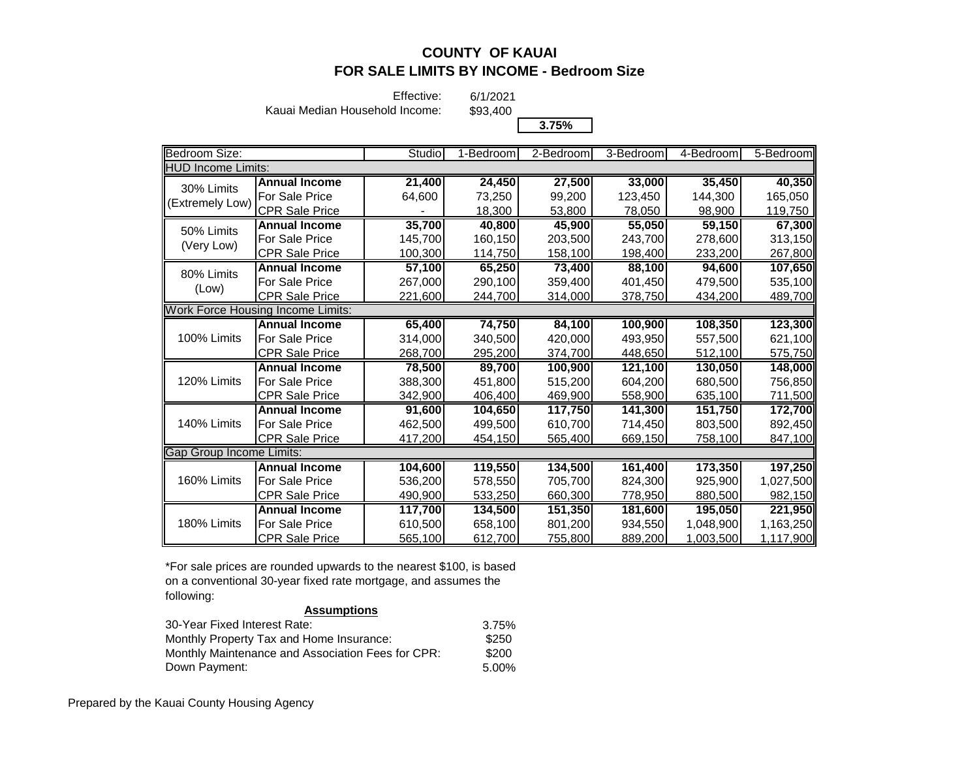Effective:

6/1/2021 \$93,400

Kauai Median Household Income:

**3.75%**

| Bedroom Size:                            |                       | Studio  | 1-Bedroom | 2-Bedroom | 3-Bedroom | 4-Bedroom            | 5-Bedroom |
|------------------------------------------|-----------------------|---------|-----------|-----------|-----------|----------------------|-----------|
| <b>HUD Income Limits:</b>                |                       |         |           |           |           |                      |           |
| 30% Limits                               | <b>Annual Income</b>  | 21,400  | 24,450    | 27,500    | 33,000    | 35,450               | 40,350    |
| (Extremely Low)                          | For Sale Price        | 64,600  | 73,250    | 99,200    | 123,450   | 144,300              | 165,050   |
|                                          | CPR Sale Price        |         | 18,300    | 53,800    | 78,050    | 98,900               | 119,750   |
| 50% Limits                               | <b>Annual Income</b>  | 35,700  | 40,800    | 45,900    | 55,050    | 59,150               | 67,300    |
|                                          | For Sale Price        | 145,700 | 160,150   | 203,500   | 243,700   | 278,600              | 313,150   |
| (Very Low)                               | <b>CPR Sale Price</b> | 100,300 | 114,750   | 158,100   | 198,400   | 233,200              | 267,800   |
| 80% Limits                               | <b>Annual Income</b>  | 57,100  | 65,250    | 73,400    | 88,100    | 94,600               | 107,650   |
|                                          | For Sale Price        | 267,000 | 290,100   | 359,400   | 401,450   | 479,500              | 535,100   |
| (Low)                                    | <b>CPR Sale Price</b> | 221,600 | 244,700   | 314,000   | 378,750   | 434,200              | 489,700   |
| <b>Work Force Housing Income Limits:</b> |                       |         |           |           |           |                      |           |
|                                          | <b>Annual Income</b>  | 65,400  | 74,750    | 84,100    | 100,900   | 108,350              | 123,300   |
| 100% Limits                              | For Sale Price        | 314,000 | 340,500   | 420,000   | 493,950   | 557,500              | 621,100   |
|                                          | <b>CPR Sale Price</b> | 268,700 | 295,200   | 374,700   | 448,650   | 512,100              | 575,750   |
|                                          | <b>Annual Income</b>  | 78,500  | 89,700    | 100,900   | 121,100   | 130,050              | 148,000   |
| 120% Limits                              | For Sale Price        | 388,300 | 451,800   | 515,200   | 604.200   | 680,500              | 756,850   |
|                                          | <b>CPR Sale Price</b> | 342,900 | 406,400   | 469,900   | 558,900   | 635,100              | 711,500   |
|                                          | <b>Annual Income</b>  | 91.600  | 104,650   | 117,750   | 141,300   | 151,750              | 172,700   |
| 140% Limits                              | For Sale Price        | 462,500 | 499,500   | 610,700   | 714,450   | 803,500              | 892,450   |
|                                          | CPR Sale Price        | 417,200 | 454,150   | 565,400   | 669,150   | 758,100              | 847,100   |
| Gap Group Income Limits:                 |                       |         |           |           |           |                      |           |
| 160% Limits                              | <b>Annual Income</b>  | 104,600 | 119,550   | 134,500   | 161,400   | 173,350              | 197,250   |
|                                          | <b>For Sale Price</b> | 536,200 | 578,550   | 705,700   | 824,300   | 925,900              | 1,027,500 |
|                                          | <b>CPR Sale Price</b> | 490,900 | 533,250   | 660,300   | 778,950   | 880,500              | 982,150   |
|                                          | <b>Annual Income</b>  | 117.700 | 134,500   | 151,350   | 181,600   | $\overline{195,050}$ | 221,950   |
| 180% Limits                              | For Sale Price        | 610,500 | 658,100   | 801,200   | 934,550   | 1,048,900            | 1,163,250 |
|                                          | <b>CPR Sale Price</b> | 565,100 | 612,700   | 755,800   | 889,200   | 1,003,500            | 1,117,900 |

\*For sale prices are rounded upwards to the nearest \$100, is based on a conventional 30-year fixed rate mortgage, and assumes the following:

| 30-Year Fixed Interest Rate:                      | 3.75% |
|---------------------------------------------------|-------|
| Monthly Property Tax and Home Insurance:          | \$250 |
| Monthly Maintenance and Association Fees for CPR: | \$200 |
| Down Payment:                                     | 5.00% |